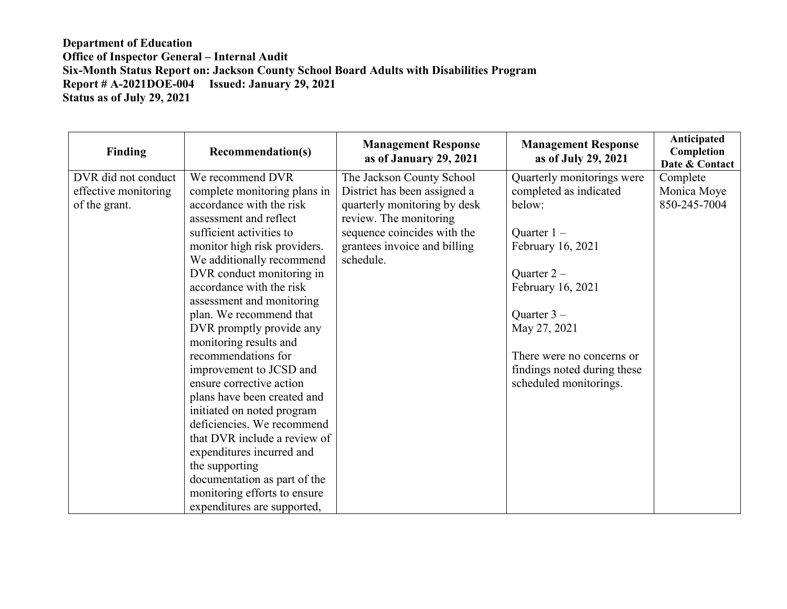| <b>Finding</b>       | <b>Recommendation(s)</b>     | <b>Management Response</b><br>as of January 29, 2021 | <b>Management Response</b><br>as of July 29, 2021 | Anticipated<br>Completion<br>Date & Contact |
|----------------------|------------------------------|------------------------------------------------------|---------------------------------------------------|---------------------------------------------|
| DVR did not conduct  | We recommend DVR             | The Jackson County School                            | Quarterly monitorings were                        | Complete                                    |
| effective monitoring | complete monitoring plans in | District has been assigned a                         | completed as indicated                            | Monica Moye                                 |
| of the grant.        | accordance with the risk     | quarterly monitoring by desk                         | below:                                            | 850-245-7004                                |
|                      | assessment and reflect       | review. The monitoring                               |                                                   |                                             |
|                      | sufficient activities to     | sequence coincides with the                          | Quarter $1 -$                                     |                                             |
|                      | monitor high risk providers. | grantees invoice and billing                         | February 16, 2021                                 |                                             |
|                      | We additionally recommend    | schedule.                                            |                                                   |                                             |
|                      | DVR conduct monitoring in    |                                                      | Quarter $2-$                                      |                                             |
|                      | accordance with the risk     |                                                      | February 16, 2021                                 |                                             |
|                      | assessment and monitoring    |                                                      |                                                   |                                             |
|                      | plan. We recommend that      |                                                      | Quarter $3-$                                      |                                             |
|                      | DVR promptly provide any     |                                                      | May 27, 2021                                      |                                             |
|                      | monitoring results and       |                                                      |                                                   |                                             |
|                      | recommendations for          |                                                      | There were no concerns or                         |                                             |
|                      | improvement to JCSD and      |                                                      | findings noted during these                       |                                             |
|                      | ensure corrective action     |                                                      | scheduled monitorings.                            |                                             |
|                      | plans have been created and  |                                                      |                                                   |                                             |
|                      | initiated on noted program   |                                                      |                                                   |                                             |
|                      | deficiencies. We recommend   |                                                      |                                                   |                                             |
|                      | that DVR include a review of |                                                      |                                                   |                                             |
|                      | expenditures incurred and    |                                                      |                                                   |                                             |
|                      | the supporting               |                                                      |                                                   |                                             |
|                      | documentation as part of the |                                                      |                                                   |                                             |
|                      | monitoring efforts to ensure |                                                      |                                                   |                                             |
|                      | expenditures are supported,  |                                                      |                                                   |                                             |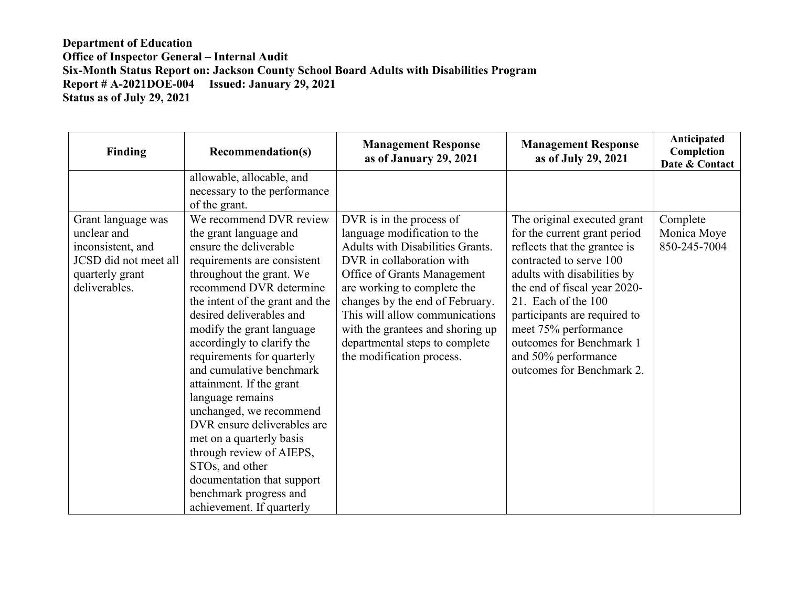| Finding               | <b>Recommendation(s)</b>        | <b>Management Response</b><br>as of January 29, 2021 | <b>Management Response</b><br>as of July 29, 2021 | Anticipated<br>Completion<br>Date & Contact |
|-----------------------|---------------------------------|------------------------------------------------------|---------------------------------------------------|---------------------------------------------|
|                       | allowable, allocable, and       |                                                      |                                                   |                                             |
|                       | necessary to the performance    |                                                      |                                                   |                                             |
|                       | of the grant.                   |                                                      |                                                   |                                             |
| Grant language was    | We recommend DVR review         | DVR is in the process of                             | The original executed grant                       | Complete                                    |
| unclear and           | the grant language and          | language modification to the                         | for the current grant period                      | Monica Moye                                 |
| inconsistent, and     | ensure the deliverable          | Adults with Disabilities Grants.                     | reflects that the grantee is                      | 850-245-7004                                |
| JCSD did not meet all | requirements are consistent     | DVR in collaboration with                            | contracted to serve 100                           |                                             |
| quarterly grant       | throughout the grant. We        | Office of Grants Management                          | adults with disabilities by                       |                                             |
| deliverables.         | recommend DVR determine         | are working to complete the                          | the end of fiscal year 2020-                      |                                             |
|                       | the intent of the grant and the | changes by the end of February.                      | 21. Each of the 100                               |                                             |
|                       | desired deliverables and        | This will allow communications                       | participants are required to                      |                                             |
|                       | modify the grant language       | with the grantees and shoring up                     | meet 75% performance                              |                                             |
|                       | accordingly to clarify the      | departmental steps to complete                       | outcomes for Benchmark 1                          |                                             |
|                       | requirements for quarterly      | the modification process.                            | and 50% performance                               |                                             |
|                       | and cumulative benchmark        |                                                      | outcomes for Benchmark 2.                         |                                             |
|                       | attainment. If the grant        |                                                      |                                                   |                                             |
|                       | language remains                |                                                      |                                                   |                                             |
|                       | unchanged, we recommend         |                                                      |                                                   |                                             |
|                       | DVR ensure deliverables are     |                                                      |                                                   |                                             |
|                       | met on a quarterly basis        |                                                      |                                                   |                                             |
|                       | through review of AIEPS,        |                                                      |                                                   |                                             |
|                       | STOs, and other                 |                                                      |                                                   |                                             |
|                       | documentation that support      |                                                      |                                                   |                                             |
|                       | benchmark progress and          |                                                      |                                                   |                                             |
|                       | achievement. If quarterly       |                                                      |                                                   |                                             |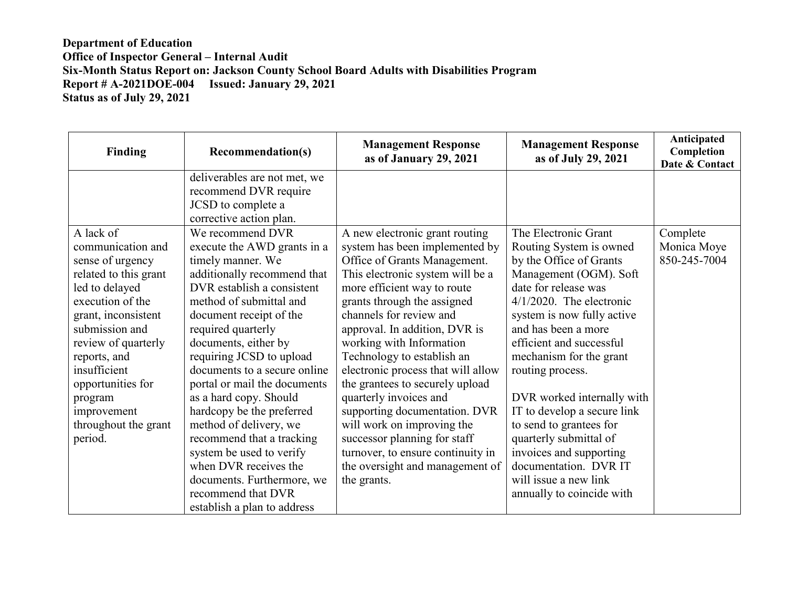| Finding               | <b>Recommendation(s)</b>     | <b>Management Response</b><br>as of January 29, 2021 | <b>Management Response</b><br>as of July 29, 2021 | Anticipated<br>Completion<br>Date & Contact |
|-----------------------|------------------------------|------------------------------------------------------|---------------------------------------------------|---------------------------------------------|
|                       | deliverables are not met, we |                                                      |                                                   |                                             |
|                       | recommend DVR require        |                                                      |                                                   |                                             |
|                       | JCSD to complete a           |                                                      |                                                   |                                             |
|                       | corrective action plan.      |                                                      |                                                   |                                             |
| A lack of             | We recommend DVR             | A new electronic grant routing                       | The Electronic Grant                              | Complete                                    |
| communication and     | execute the AWD grants in a  | system has been implemented by                       | Routing System is owned                           | Monica Moye                                 |
| sense of urgency      | timely manner. We            | Office of Grants Management.                         | by the Office of Grants                           | 850-245-7004                                |
| related to this grant | additionally recommend that  | This electronic system will be a                     | Management (OGM). Soft                            |                                             |
| led to delayed        | DVR establish a consistent   | more efficient way to route                          | date for release was                              |                                             |
| execution of the      | method of submittal and      | grants through the assigned                          | $4/1/2020$ . The electronic                       |                                             |
| grant, inconsistent   | document receipt of the      | channels for review and                              | system is now fully active                        |                                             |
| submission and        | required quarterly           | approval. In addition, DVR is                        | and has been a more                               |                                             |
| review of quarterly   | documents, either by         | working with Information                             | efficient and successful                          |                                             |
| reports, and          | requiring JCSD to upload     | Technology to establish an                           | mechanism for the grant                           |                                             |
| insufficient          | documents to a secure online | electronic process that will allow                   | routing process.                                  |                                             |
| opportunities for     | portal or mail the documents | the grantees to securely upload                      |                                                   |                                             |
| program               | as a hard copy. Should       | quarterly invoices and                               | DVR worked internally with                        |                                             |
| improvement           | hardcopy be the preferred    | supporting documentation. DVR                        | IT to develop a secure link                       |                                             |
| throughout the grant  | method of delivery, we       | will work on improving the                           | to send to grantees for                           |                                             |
| period.               | recommend that a tracking    | successor planning for staff                         | quarterly submittal of                            |                                             |
|                       | system be used to verify     | turnover, to ensure continuity in                    | invoices and supporting                           |                                             |
|                       | when DVR receives the        | the oversight and management of                      | documentation. DVR IT                             |                                             |
|                       | documents. Furthermore, we   | the grants.                                          | will issue a new link                             |                                             |
|                       | recommend that DVR           |                                                      | annually to coincide with                         |                                             |
|                       | establish a plan to address  |                                                      |                                                   |                                             |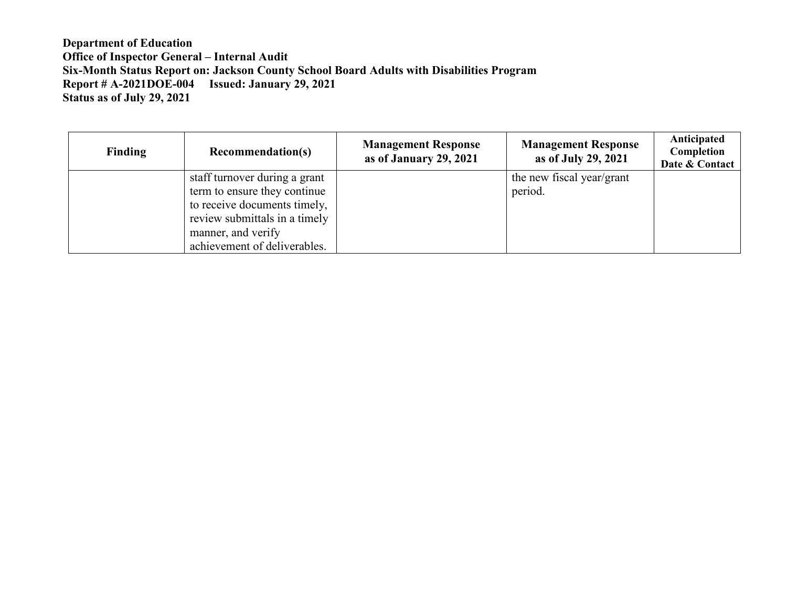| <b>Finding</b> | <b>Recommendation(s)</b>      | <b>Management Response</b><br>as of January 29, 2021 | <b>Management Response</b><br>as of July 29, 2021 | Anticipated<br>Completion<br>Date & Contact |
|----------------|-------------------------------|------------------------------------------------------|---------------------------------------------------|---------------------------------------------|
|                | staff turnover during a grant |                                                      | the new fiscal year/grant                         |                                             |
|                | term to ensure they continue  |                                                      | period.                                           |                                             |
|                | to receive documents timely,  |                                                      |                                                   |                                             |
|                | review submittals in a timely |                                                      |                                                   |                                             |
|                | manner, and verify            |                                                      |                                                   |                                             |
|                | achievement of deliverables.  |                                                      |                                                   |                                             |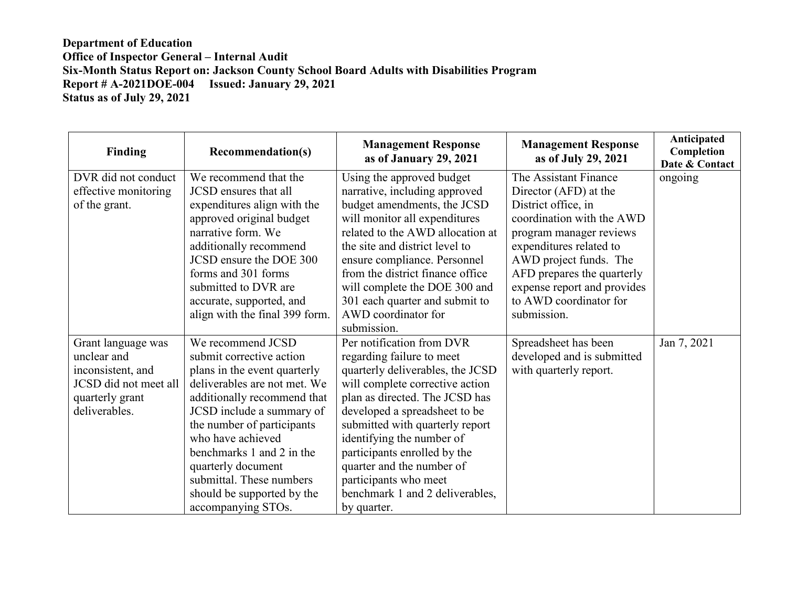| Finding               | <b>Recommendation(s)</b>       | <b>Management Response</b><br>as of January 29, 2021 | <b>Management Response</b><br>as of July 29, 2021 | Anticipated<br>Completion<br>Date & Contact |
|-----------------------|--------------------------------|------------------------------------------------------|---------------------------------------------------|---------------------------------------------|
| DVR did not conduct   | We recommend that the          | Using the approved budget                            | The Assistant Finance                             | ongoing                                     |
| effective monitoring  | <b>JCSD</b> ensures that all   | narrative, including approved                        | Director (AFD) at the                             |                                             |
| of the grant.         | expenditures align with the    | budget amendments, the JCSD                          | District office, in                               |                                             |
|                       | approved original budget       | will monitor all expenditures                        | coordination with the AWD                         |                                             |
|                       | narrative form. We             | related to the AWD allocation at                     | program manager reviews                           |                                             |
|                       | additionally recommend         | the site and district level to                       | expenditures related to                           |                                             |
|                       | JCSD ensure the DOE 300        | ensure compliance. Personnel                         | AWD project funds. The                            |                                             |
|                       | forms and 301 forms            | from the district finance office                     | AFD prepares the quarterly                        |                                             |
|                       | submitted to DVR are           | will complete the DOE 300 and                        | expense report and provides                       |                                             |
|                       | accurate, supported, and       | 301 each quarter and submit to                       | to AWD coordinator for                            |                                             |
|                       | align with the final 399 form. | AWD coordinator for                                  | submission.                                       |                                             |
|                       |                                | submission.                                          |                                                   |                                             |
| Grant language was    | We recommend JCSD              | Per notification from DVR                            | Spreadsheet has been                              | Jan 7, 2021                                 |
| unclear and           | submit corrective action       | regarding failure to meet                            | developed and is submitted                        |                                             |
| inconsistent, and     | plans in the event quarterly   | quarterly deliverables, the JCSD                     | with quarterly report.                            |                                             |
| JCSD did not meet all | deliverables are not met. We   | will complete corrective action                      |                                                   |                                             |
| quarterly grant       | additionally recommend that    | plan as directed. The JCSD has                       |                                                   |                                             |
| deliverables.         | JCSD include a summary of      | developed a spreadsheet to be                        |                                                   |                                             |
|                       | the number of participants     | submitted with quarterly report                      |                                                   |                                             |
|                       | who have achieved              | identifying the number of                            |                                                   |                                             |
|                       | benchmarks 1 and 2 in the      | participants enrolled by the                         |                                                   |                                             |
|                       | quarterly document             | quarter and the number of                            |                                                   |                                             |
|                       | submittal. These numbers       | participants who meet                                |                                                   |                                             |
|                       | should be supported by the     | benchmark 1 and 2 deliverables,                      |                                                   |                                             |
|                       | accompanying STOs.             | by quarter.                                          |                                                   |                                             |